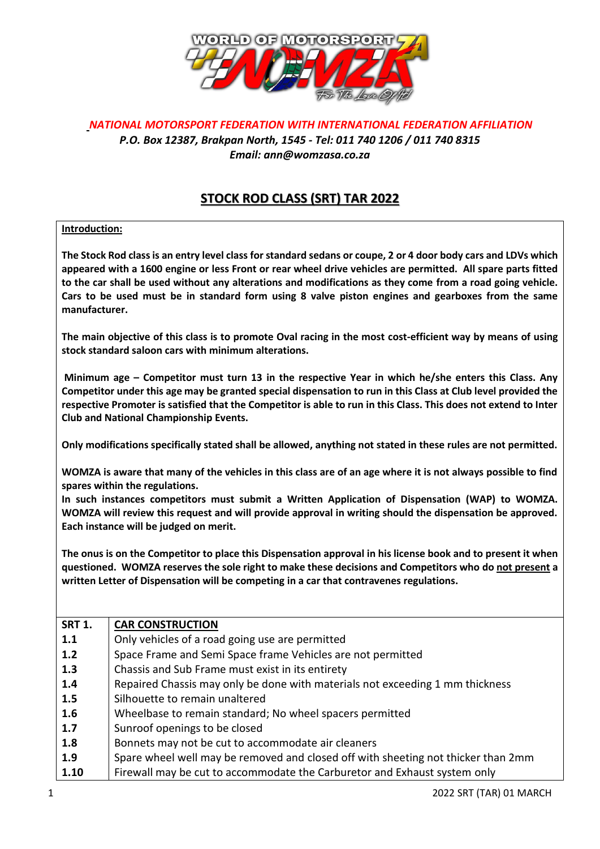

## *NATIONAL MOTORSPORT FEDERATION WITH INTERNATIONAL FEDERATION AFFILIATION P.O. Box 12387, Brakpan North, 1545 - Tel: 011 740 1206 / 011 740 8315 Email: ann@womzasa.co.za*

## **STOCK ROD CLASS (SRT) TAR 2022**

## **Introduction:**

**The Stock Rod class is an entry level class for standard sedans or coupe, 2 or 4 door body cars and LDVs which appeared with a 1600 engine or less Front or rear wheel drive vehicles are permitted. All spare parts fitted to the car shall be used without any alterations and modifications as they come from a road going vehicle. Cars to be used must be in standard form using 8 valve piston engines and gearboxes from the same manufacturer.** 

**The main objective of this class is to promote Oval racing in the most cost-efficient way by means of using stock standard saloon cars with minimum alterations.**

**Minimum age – Competitor must turn 13 in the respective Year in which he/she enters this Class. Any Competitor under this age may be granted special dispensation to run in this Class at Club level provided the respective Promoter is satisfied that the Competitor is able to run in this Class. This does not extend to Inter Club and National Championship Events.**

**Only modifications specifically stated shall be allowed, anything not stated in these rules are not permitted.**

**WOMZA is aware that many of the vehicles in this class are of an age where it is not always possible to find spares within the regulations.** 

**In such instances competitors must submit a Written Application of Dispensation (WAP) to WOMZA. WOMZA will review this request and will provide approval in writing should the dispensation be approved. Each instance will be judged on merit.** 

**The onus is on the Competitor to place this Dispensation approval in his license book and to present it when questioned. WOMZA reserves the sole right to make these decisions and Competitors who do not present a written Letter of Dispensation will be competing in a car that contravenes regulations.**

| <b>SRT 1.</b> | <b>CAR CONSTRUCTION</b>                                                           |
|---------------|-----------------------------------------------------------------------------------|
| 1.1           | Only vehicles of a road going use are permitted                                   |
| 1.2           | Space Frame and Semi Space frame Vehicles are not permitted                       |
| 1.3           | Chassis and Sub Frame must exist in its entirety                                  |
| 1.4           | Repaired Chassis may only be done with materials not exceeding 1 mm thickness     |
| 1.5           | Silhouette to remain unaltered                                                    |
| 1.6           | Wheelbase to remain standard; No wheel spacers permitted                          |
| 1.7           | Sunroof openings to be closed                                                     |
| 1.8           | Bonnets may not be cut to accommodate air cleaners                                |
| 1.9           | Spare wheel well may be removed and closed off with sheeting not thicker than 2mm |
| 1.10          | Firewall may be cut to accommodate the Carburetor and Exhaust system only         |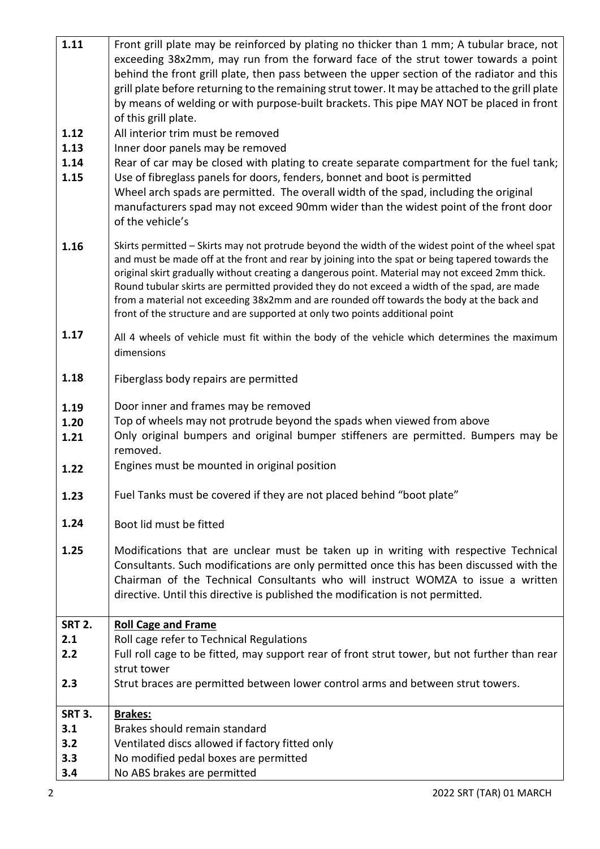| 1.11          | Front grill plate may be reinforced by plating no thicker than 1 mm; A tubular brace, not                                                                    |
|---------------|--------------------------------------------------------------------------------------------------------------------------------------------------------------|
|               | exceeding 38x2mm, may run from the forward face of the strut tower towards a point                                                                           |
|               | behind the front grill plate, then pass between the upper section of the radiator and this                                                                   |
|               | grill plate before returning to the remaining strut tower. It may be attached to the grill plate                                                             |
|               | by means of welding or with purpose-built brackets. This pipe MAY NOT be placed in front                                                                     |
|               | of this grill plate.                                                                                                                                         |
| 1.12          | All interior trim must be removed                                                                                                                            |
| 1.13          | Inner door panels may be removed                                                                                                                             |
| 1.14          | Rear of car may be closed with plating to create separate compartment for the fuel tank;                                                                     |
| 1.15          | Use of fibreglass panels for doors, fenders, bonnet and boot is permitted                                                                                    |
|               | Wheel arch spads are permitted. The overall width of the spad, including the original                                                                        |
|               | manufacturers spad may not exceed 90mm wider than the widest point of the front door                                                                         |
|               | of the vehicle's                                                                                                                                             |
| 1.16          | Skirts permitted - Skirts may not protrude beyond the width of the widest point of the wheel spat                                                            |
|               | and must be made off at the front and rear by joining into the spat or being tapered towards the                                                             |
|               | original skirt gradually without creating a dangerous point. Material may not exceed 2mm thick.                                                              |
|               | Round tubular skirts are permitted provided they do not exceed a width of the spad, are made                                                                 |
|               | from a material not exceeding 38x2mm and are rounded off towards the body at the back and                                                                    |
|               | front of the structure and are supported at only two points additional point                                                                                 |
| 1.17          | All 4 wheels of vehicle must fit within the body of the vehicle which determines the maximum                                                                 |
|               | dimensions                                                                                                                                                   |
|               |                                                                                                                                                              |
| 1.18          | Fiberglass body repairs are permitted                                                                                                                        |
|               |                                                                                                                                                              |
| 1.19          | Door inner and frames may be removed                                                                                                                         |
| 1.20          | Top of wheels may not protrude beyond the spads when viewed from above<br>Only original bumpers and original bumper stiffeners are permitted. Bumpers may be |
| 1.21          | removed.                                                                                                                                                     |
|               | Engines must be mounted in original position                                                                                                                 |
| 1.22          |                                                                                                                                                              |
| 1.23          | Fuel Tanks must be covered if they are not placed behind "boot plate"                                                                                        |
|               |                                                                                                                                                              |
| 1.24          | Boot lid must be fitted                                                                                                                                      |
| 1.25          | Modifications that are unclear must be taken up in writing with respective Technical                                                                         |
|               | Consultants. Such modifications are only permitted once this has been discussed with the                                                                     |
|               | Chairman of the Technical Consultants who will instruct WOMZA to issue a written                                                                             |
|               | directive. Until this directive is published the modification is not permitted.                                                                              |
|               |                                                                                                                                                              |
| <b>SRT 2.</b> | <b>Roll Cage and Frame</b>                                                                                                                                   |
| 2.1           | Roll cage refer to Technical Regulations                                                                                                                     |
| 2.2           | Full roll cage to be fitted, may support rear of front strut tower, but not further than rear                                                                |
|               | strut tower                                                                                                                                                  |
| 2.3           | Strut braces are permitted between lower control arms and between strut towers.                                                                              |
|               |                                                                                                                                                              |
| <b>SRT 3.</b> | <b>Brakes:</b>                                                                                                                                               |
| 3.1           | Brakes should remain standard                                                                                                                                |
| 3.2           | Ventilated discs allowed if factory fitted only                                                                                                              |
| 3.3           | No modified pedal boxes are permitted                                                                                                                        |
| 3.4           | No ABS brakes are permitted                                                                                                                                  |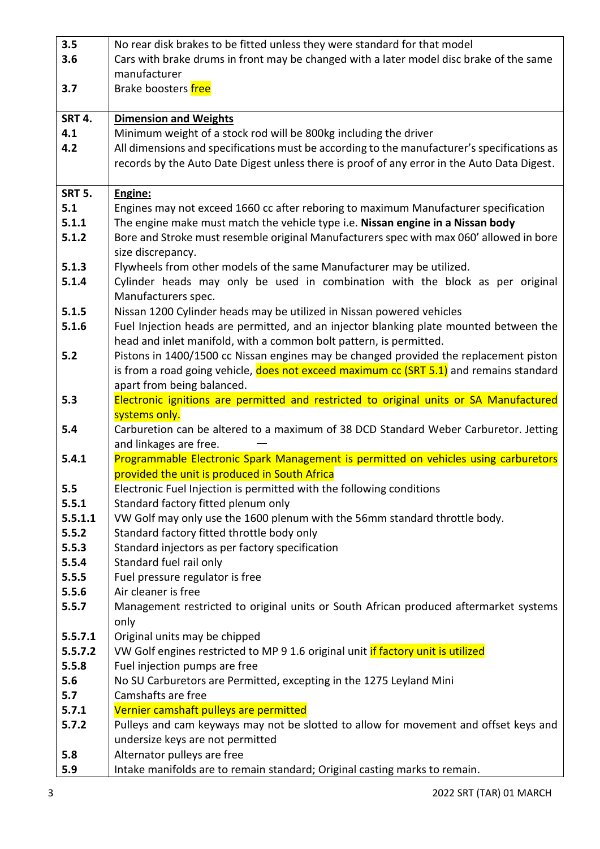| 3.5            | No rear disk brakes to be fitted unless they were standard for that model                   |
|----------------|---------------------------------------------------------------------------------------------|
| 3.6            | Cars with brake drums in front may be changed with a later model disc brake of the same     |
|                | manufacturer                                                                                |
| 3.7            | Brake boosters free                                                                         |
|                |                                                                                             |
| <b>SRT 4.</b>  | <b>Dimension and Weights</b>                                                                |
| 4.1            | Minimum weight of a stock rod will be 800kg including the driver                            |
| 4.2            | All dimensions and specifications must be according to the manufacturer's specifications as |
|                | records by the Auto Date Digest unless there is proof of any error in the Auto Data Digest. |
| <b>SRT 5.</b>  | Engine:                                                                                     |
| 5.1            | Engines may not exceed 1660 cc after reboring to maximum Manufacturer specification         |
| 5.1.1          | The engine make must match the vehicle type i.e. Nissan engine in a Nissan body             |
| 5.1.2          | Bore and Stroke must resemble original Manufacturers spec with max 060' allowed in bore     |
|                | size discrepancy.                                                                           |
| 5.1.3          | Flywheels from other models of the same Manufacturer may be utilized.                       |
| 5.1.4          | Cylinder heads may only be used in combination with the block as per original               |
|                | Manufacturers spec.                                                                         |
| 5.1.5          | Nissan 1200 Cylinder heads may be utilized in Nissan powered vehicles                       |
| 5.1.6          | Fuel Injection heads are permitted, and an injector blanking plate mounted between the      |
|                | head and inlet manifold, with a common bolt pattern, is permitted.                          |
| 5.2            | Pistons in 1400/1500 cc Nissan engines may be changed provided the replacement piston       |
|                | is from a road going vehicle, does not exceed maximum cc (SRT 5.1) and remains standard     |
|                | apart from being balanced.                                                                  |
| 5.3            | Electronic ignitions are permitted and restricted to original units or SA Manufactured      |
|                | systems only.                                                                               |
| 5.4            | Carburetion can be altered to a maximum of 38 DCD Standard Weber Carburetor. Jetting        |
|                | and linkages are free.                                                                      |
| 5.4.1          | Programmable Electronic Spark Management is permitted on vehicles using carburetors         |
|                | provided the unit is produced in South Africa                                               |
| 5.5            | Electronic Fuel Injection is permitted with the following conditions                        |
| 5.5.1          | Standard factory fitted plenum only                                                         |
| 5.5.1.1        | VW Golf may only use the 1600 plenum with the 56mm standard throttle body.                  |
| 5.5.2          | Standard factory fitted throttle body only                                                  |
| 5.5.3          | Standard injectors as per factory specification                                             |
| 5.5.4          | Standard fuel rail only                                                                     |
| 5.5.5<br>5.5.6 | Fuel pressure regulator is free<br>Air cleaner is free                                      |
| 5.5.7          | Management restricted to original units or South African produced aftermarket systems       |
|                | only                                                                                        |
| 5.5.7.1        | Original units may be chipped                                                               |
| 5.5.7.2        | VW Golf engines restricted to MP 9 1.6 original unit if factory unit is utilized            |
| 5.5.8          | Fuel injection pumps are free                                                               |
| 5.6            | No SU Carburetors are Permitted, excepting in the 1275 Leyland Mini                         |
| 5.7            | Camshafts are free                                                                          |
| 5.7.1          | Vernier camshaft pulleys are permitted                                                      |
| 5.7.2          | Pulleys and cam keyways may not be slotted to allow for movement and offset keys and        |
|                | undersize keys are not permitted                                                            |
| 5.8            | Alternator pulleys are free                                                                 |
| 5.9            | Intake manifolds are to remain standard; Original casting marks to remain.                  |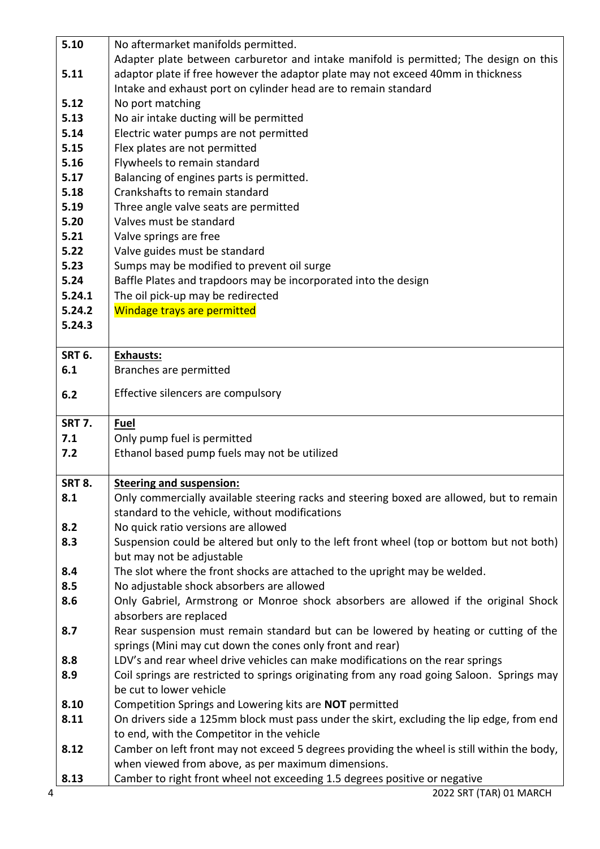|               | No aftermarket manifolds permitted.                                                                                              |
|---------------|----------------------------------------------------------------------------------------------------------------------------------|
|               | Adapter plate between carburetor and intake manifold is permitted; The design on this                                            |
| 5.11          | adaptor plate if free however the adaptor plate may not exceed 40mm in thickness                                                 |
|               | Intake and exhaust port on cylinder head are to remain standard                                                                  |
| 5.12          | No port matching                                                                                                                 |
| 5.13          | No air intake ducting will be permitted                                                                                          |
| 5.14          | Electric water pumps are not permitted                                                                                           |
| 5.15          | Flex plates are not permitted                                                                                                    |
| 5.16          | Flywheels to remain standard                                                                                                     |
| 5.17          | Balancing of engines parts is permitted.                                                                                         |
| 5.18          | Crankshafts to remain standard                                                                                                   |
| 5.19          | Three angle valve seats are permitted                                                                                            |
| 5.20          | Valves must be standard                                                                                                          |
| 5.21          | Valve springs are free                                                                                                           |
| 5.22          | Valve guides must be standard                                                                                                    |
| 5.23          | Sumps may be modified to prevent oil surge                                                                                       |
| 5.24          | Baffle Plates and trapdoors may be incorporated into the design                                                                  |
| 5.24.1        | The oil pick-up may be redirected                                                                                                |
| 5.24.2        | Windage trays are permitted                                                                                                      |
| 5.24.3        |                                                                                                                                  |
| <b>SRT 6.</b> | <b>Exhausts:</b>                                                                                                                 |
| 6.1           | Branches are permitted                                                                                                           |
|               |                                                                                                                                  |
| 6.2           | Effective silencers are compulsory                                                                                               |
| <b>SRT 7.</b> | <b>Fuel</b>                                                                                                                      |
| 7.1           |                                                                                                                                  |
|               | Only pump fuel is permitted                                                                                                      |
| 7.2           | Ethanol based pump fuels may not be utilized                                                                                     |
|               |                                                                                                                                  |
| <b>SRT 8.</b> | <b>Steering and suspension:</b>                                                                                                  |
| 8.1           | Only commercially available steering racks and steering boxed are allowed, but to remain                                         |
|               | standard to the vehicle, without modifications                                                                                   |
| 8.2           | No quick ratio versions are allowed                                                                                              |
| 8.3           | Suspension could be altered but only to the left front wheel (top or bottom but not both)                                        |
|               | but may not be adjustable                                                                                                        |
| 8.4           | The slot where the front shocks are attached to the upright may be welded.                                                       |
| 8.5           | No adjustable shock absorbers are allowed                                                                                        |
| 8.6           | Only Gabriel, Armstrong or Monroe shock absorbers are allowed if the original Shock                                              |
|               | absorbers are replaced                                                                                                           |
| 8.7           | Rear suspension must remain standard but can be lowered by heating or cutting of the                                             |
|               | springs (Mini may cut down the cones only front and rear)                                                                        |
| 8.8           | LDV's and rear wheel drive vehicles can make modifications on the rear springs                                                   |
| 8.9           | Coil springs are restricted to springs originating from any road going Saloon. Springs may                                       |
|               | be cut to lower vehicle                                                                                                          |
| 8.10          | Competition Springs and Lowering kits are NOT permitted                                                                          |
| 8.11          | On drivers side a 125mm block must pass under the skirt, excluding the lip edge, from end                                        |
|               | to end, with the Competitor in the vehicle                                                                                       |
| 8.12          | Camber on left front may not exceed 5 degrees providing the wheel is still within the body,                                      |
| 8.13          | when viewed from above, as per maximum dimensions.<br>Camber to right front wheel not exceeding 1.5 degrees positive or negative |